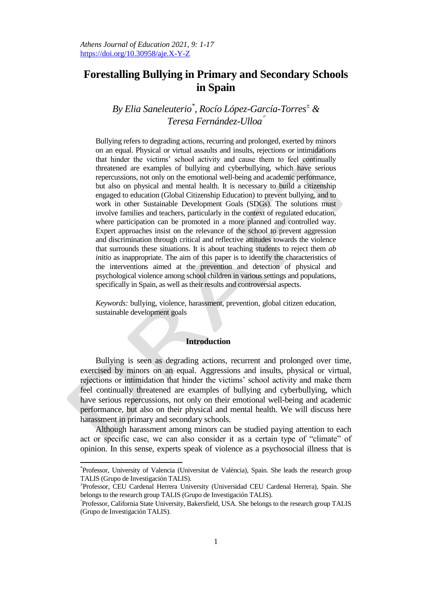# **Forestalling Bullying in Primary and Secondary Schools in Spain**

## *By Elia Saneleuterio\* , Rocío López-García-Torres<sup>±</sup> & Teresa Fernández-Ulloa*

Bullying refers to degrading actions, recurring and prolonged, exerted by minors on an equal. Physical or virtual assaults and insults, rejections or intimidations that hinder the victims' school activity and cause them to feel continually threatened are examples of bullying and cyberbullying, which have serious repercussions, not only on the emotional well-being and academic performance, but also on physical and mental health. It is necessary to build a citizenship engaged to education (Global Citizenship Education) to prevent bullying, and to work in other Sustainable Development Goals (SDGs). The solutions must involve families and teachers, particularly in the context of regulated education, where participation can be promoted in a more planned and controlled way. Expert approaches insist on the relevance of the school to prevent aggression and discrimination through critical and reflective attitudes towards the violence that surrounds these situations. It is about teaching students to reject them *ab initio* as inappropriate. The aim of this paper is to identify the characteristics of the interventions aimed at the prevention and detection of physical and psychological violence among school children in various settings and populations, specifically in Spain, as well as their results and controversial aspects.

*Keywords:* bullying, violence, harassment, prevention, global citizen education, sustainable development goals

## **Introduction**

Bullying is seen as degrading actions, recurrent and prolonged over time, exercised by minors on an equal. Aggressions and insults, physical or virtual, rejections or intimidation that hinder the victims' school activity and make them feel continually threatened are examples of bullying and cyberbullying, which have serious repercussions, not only on their emotional well-being and academic performance, but also on their physical and mental health. We will discuss here harassment in primary and secondary schools.

Although harassment among minors can be studied paying attention to each act or specific case, we can also consider it as a certain type of "climate" of opinion. In this sense, experts speak of violence as a psychosocial illness that is

 $\overline{a}$ 

<sup>\*</sup> Professor, University of Valencia (Universitat de València), Spain. She leads the research group TALIS (Grupo de Investigación TALIS).

<sup>±</sup> Professor, CEU Cardenal Herrera University (Universidad CEU Cardenal Herrera), Spain. She belongs to the research group TALIS (Grupo de Investigación TALIS).

Professor, California State University, Bakersfield, USA. She belongs to the research group TALIS (Grupo de Investigación TALIS).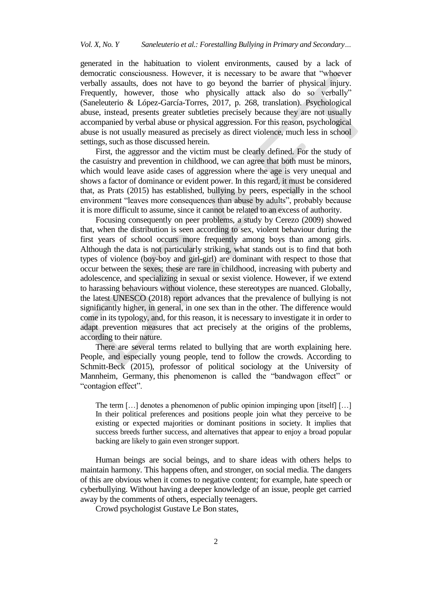generated in the habituation to violent environments, caused by a lack of democratic consciousness. However, it is necessary to be aware that "whoever verbally assaults, does not have to go beyond the barrier of physical injury. Frequently, however, those who physically attack also do so verbally" (Saneleuterio & López-García-Torres, 2017, p. 268, translation). Psychological abuse, instead, presents greater subtleties precisely because they are not usually accompanied by verbal abuse or physical aggression. For this reason, psychological abuse is not usually measured as precisely as direct violence, much less in school settings, such as those discussed herein.

First, the aggressor and the victim must be clearly defined. For the study of the casuistry and prevention in childhood, we can agree that both must be minors, which would leave aside cases of aggression where the age is very unequal and shows a factor of dominance or evident power. In this regard, it must be considered that, as Prats (2015) has established, bullying by peers, especially in the school environment "leaves more consequences than abuse by adults", probably because it is more difficult to assume, since it cannot be related to an excess of authority.

Focusing consequently on peer problems, a study by Cerezo (2009) showed that, when the distribution is seen according to sex, violent behaviour during the first years of school occurs more frequently among boys than among girls. Although the data is not particularly striking, what stands out is to find that both types of violence (boy-boy and girl-girl) are dominant with respect to those that occur between the sexes; these are rare in childhood, increasing with puberty and adolescence, and specializing in sexual or sexist violence. However, if we extend to harassing behaviours without violence, these stereotypes are nuanced. Globally, the latest UNESCO (2018) report advances that the prevalence of bullying is not significantly higher, in general, in one sex than in the other. The difference would come in its typology, and, for this reason, it is necessary to investigate it in order to adapt prevention measures that act precisely at the origins of the problems, according to their nature.

There are several terms related to bullying that are worth explaining here. People, and especially young people, tend to follow the crowds. According to Schmitt-Beck (2015), professor of political sociology at the University of Mannheim, Germany, this phenomenon is called the "bandwagon effect" or "contagion effect".

The term […] denotes a phenomenon of public opinion impinging upon [itself] […] In their political preferences and positions people join what they perceive to be existing or expected majorities or dominant positions in society. It implies that success breeds further success, and alternatives that appear to enjoy a broad popular backing are likely to gain even stronger support.

Human beings are social beings, and to share ideas with others helps to maintain harmony. This happens often, and stronger, on social media. The dangers of this are obvious when it comes to negative content; for example, hate speech or cyberbullying. Without having a deeper knowledge of an issue, people get carried away by the comments of others, especially teenagers.

Crowd psychologist Gustave Le Bon states,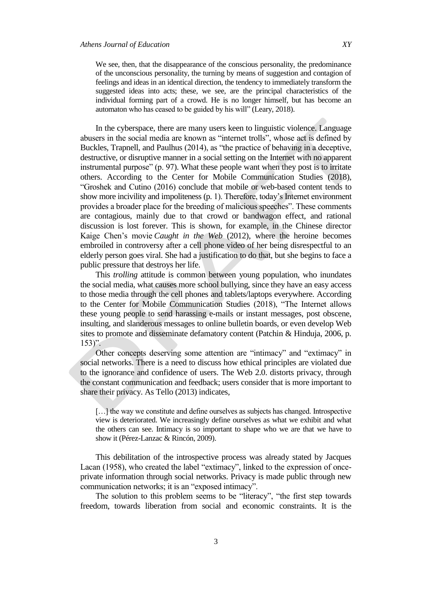We see, then, that the disappearance of the conscious personality, the predominance of the unconscious personality, the turning by means of suggestion and contagion of feelings and ideas in an identical direction, the tendency to immediately transform the suggested ideas into acts; these, we see, are the principal characteristics of the individual forming part of a crowd. He is no longer himself, but has become an automaton who has ceased to be guided by his will" (Leary, 2018).

In the cyberspace, there are many users keen to linguistic violence. Language abusers in the social media are known as "internet trolls", whose act is defined by Buckles, Trapnell, and Paulhus (2014), as "the practice of behaving in a deceptive, destructive, or disruptive manner in a social setting on the Internet with no apparent instrumental purpose"  $(p. 97)$ . What these people want when they post is to irritate others. According to the Center for Mobile Communication Studies (2018), ―Groshek and Cutino (2016) conclude that mobile or web-based content tends to show more incivility and impoliteness (p. 1). Therefore, today's Internet environment provides a broader place for the breeding of malicious speeches". These comments are contagious, mainly due to that crowd or bandwagon effect, and rational discussion is lost forever. This is shown, for example, in the Chinese director Kaige Chen's movie *Caught in the Web* (2012), where the heroine becomes embroiled in controversy after a cell phone video of her being disrespectful to an elderly person goes viral. She had a justification to do that, but she begins to face a public pressure that destroys her life.

This *trolling* attitude is common between young population, who inundates the social media, what causes more school bullying, since they have an easy access to those media through the cell phones and tablets/laptops everywhere. According to the Center for Mobile Communication Studies (2018), "The Internet allows these young people to send harassing e-mails or instant messages, post obscene, insulting, and slanderous messages to online bulletin boards, or even develop Web sites to promote and disseminate defamatory content (Patchin & Hinduja, 2006, p.  $153)$ ".

Other concepts deserving some attention are "intimacy" and "extimacy" in social networks. There is a need to discuss how ethical principles are violated due to the ignorance and confidence of users. The Web 2.0. distorts privacy, through the constant communication and feedback; users consider that is more important to share their privacy. As Tello (2013) indicates,

[...] the way we constitute and define ourselves as subjects has changed. Introspective view is deteriorated. We increasingly define ourselves as what we exhibit and what the others can see. Intimacy is so important to shape who we are that we have to show it (Pérez-Lanzac & Rincón, 2009).

This debilitation of the introspective process was already stated by Jacques Lacan (1958), who created the label "extimacy", linked to the expression of onceprivate information through social networks. Privacy is made public through new communication networks; it is an "exposed intimacy".

The solution to this problem seems to be "literacy", "the first step towards freedom, towards liberation from social and economic constraints. It is the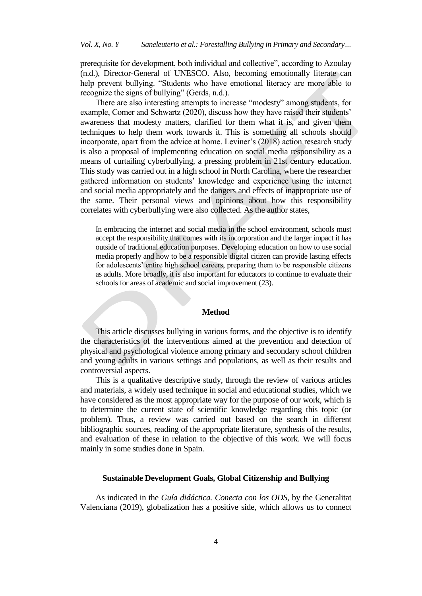prerequisite for development, both individual and collective", according to Azoulay (n.d.), Director-General of UNESCO. Also, becoming emotionally literate can help prevent bullying. "Students who have emotional literacy are more able to recognize the signs of bullying" (Gerds, n.d.).

There are also interesting attempts to increase "modesty" among students, for example, Comer and Schwartz (2020), discuss how they have raised their students' awareness that modesty matters, clarified for them what it is, and given them techniques to help them work towards it. This is something all schools should incorporate, apart from the advice at home. Leviner's (2018) action research study is also a proposal of implementing education on social media responsibility as a means of curtailing cyberbullying, a pressing problem in 21st century education. This study was carried out in a high school in North Carolina, where the researcher gathered information on students' knowledge and experience using the internet and social media appropriately and the dangers and effects of inappropriate use of the same. Their personal views and opinions about how this responsibility correlates with cyberbullying were also collected. As the author states,

In embracing the internet and social media in the school environment, schools must accept the responsibility that comes with its incorporation and the larger impact it has outside of traditional education purposes. Developing education on how to use social media properly and how to be a responsible digital citizen can provide lasting effects for adolescents' entire high school careers, preparing them to be responsible citizens as adults. More broadly, it is also important for educators to continue to evaluate their schools for areas of academic and social improvement (23).

#### **Method**

This article discusses bullying in various forms, and the objective is to identify the characteristics of the interventions aimed at the prevention and detection of physical and psychological violence among primary and secondary school children and young adults in various settings and populations, as well as their results and controversial aspects.

This is a qualitative descriptive study, through the review of various articles and materials, a widely used technique in social and educational studies, which we have considered as the most appropriate way for the purpose of our work, which is to determine the current state of scientific knowledge regarding this topic (or problem). Thus, a review was carried out based on the search in different bibliographic sources, reading of the appropriate literature, synthesis of the results, and evaluation of these in relation to the objective of this work. We will focus mainly in some studies done in Spain.

### **Sustainable Development Goals, Global Citizenship and Bullying**

As indicated in the *Guía didáctica. Conecta con los ODS,* by the Generalitat Valenciana (2019), globalization has a positive side, which allows us to connect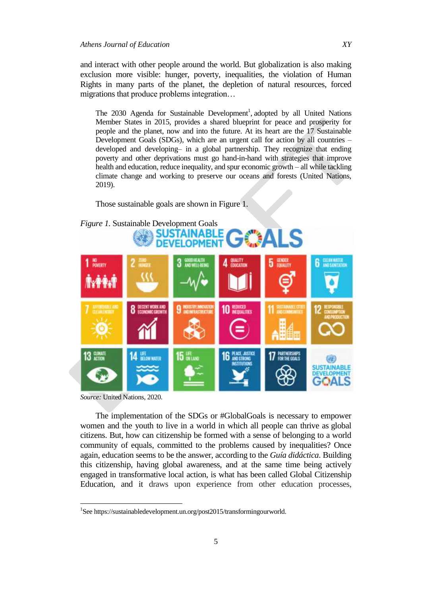and interact with other people around the world. But globalization is also making exclusion more visible: hunger, poverty, inequalities, the violation of Human Rights in many parts of the planet, the depletion of natural resources, forced migrations that produce problems integration…

The 2030 Agenda for Sustainable Development<sup>1</sup>, adopted by all United Nations Member States in 2015, provides a shared blueprint for peace and prosperity for people and the planet, now and into the future. At its heart are the 17 Sustainable Development Goals (SDGs), which are an urgent call for action by all countries – developed and developing– in a global partnership. They recognize that ending poverty and other deprivations must go hand-in-hand with strategies that improve health and education, reduce inequality, and spur economic growth – all while tackling climate change and working to preserve our oceans and forests (United Nations, 2019).

Those sustainable goals are shown in Figure 1.





*Source:* United Nations, 2020.

 $\overline{a}$ 

The implementation of the SDGs or #GlobalGoals is necessary to empower women and the youth to live in a world in which all people can thrive as global citizens. But, how can citizenship be formed with a sense of belonging to a world community of equals, committed to the problems caused by inequalities? Once again, education seems to be the answer, according to the *Guía didáctica*. Building this citizenship, having global awareness, and at the same time being actively engaged in transformative local action, is what has been called Global Citizenship Education, and it draws upon experience from other education processes,

<sup>&</sup>lt;sup>1</sup>See [https://sustainabledevelopment.un.org/post2015/transformingourworld.](https://sustainabledevelopment.un.org/post2015/transformingourworld)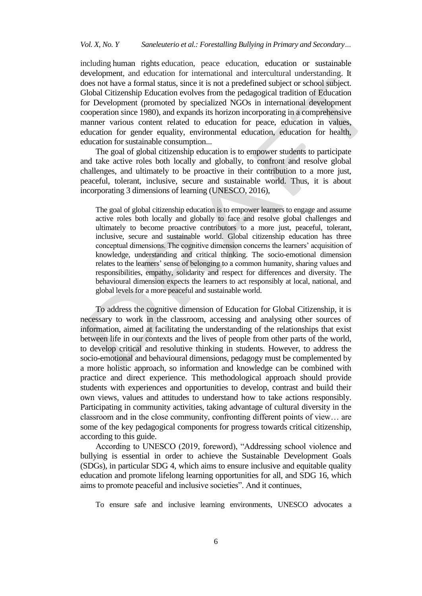including human rights education, peace education, education or sustainable development, and education for international and intercultural understanding. It does not have a formal status, since it is not a predefined subject or school subject. Global Citizenship Education evolves from the pedagogical tradition of Education for Development (promoted by specialized NGOs in international development cooperation since 1980), and expands its horizon incorporating in a comprehensive manner various content related to education for peace, education in values, education for gender equality, environmental education, education for health, education for sustainable consumption...

The goal of global citizenship education is to empower students to participate and take active roles both locally and globally, to confront and resolve global challenges, and ultimately to be proactive in their contribution to a more just, peaceful, tolerant, inclusive, secure and sustainable world. Thus, it is about incorporating 3 dimensions of learning (UNESCO, 2016),

The goal of global citizenship education is to empower learners to engage and assume active roles both locally and globally to face and resolve global challenges and ultimately to become proactive contributors to a more just, peaceful, tolerant, inclusive, secure and sustainable world. Global citizenship education has three conceptual dimensions. The cognitive dimension concerns the learners' acquisition of knowledge, understanding and critical thinking. The socio-emotional dimension relates to the learners' sense of belonging to a common humanity, sharing values and responsibilities, empathy, solidarity and respect for differences and diversity. The behavioural dimension expects the learners to act responsibly at local, national, and global levels for a more peaceful and sustainable world.

To address the cognitive dimension of Education for Global Citizenship, it is necessary to work in the classroom, accessing and analysing other sources of information, aimed at facilitating the understanding of the relationships that exist between life in our contexts and the lives of people from other parts of the world, to develop critical and resolutive thinking in students. However, to address the socio-emotional and behavioural dimensions, pedagogy must be complemented by a more holistic approach, so information and knowledge can be combined with practice and direct experience. This methodological approach should provide students with experiences and opportunities to develop, contrast and build their own views, values and attitudes to understand how to take actions responsibly. Participating in community activities, taking advantage of cultural diversity in the classroom and in the close community, confronting different points of view… are some of the key pedagogical components for progress towards critical citizenship, according to this guide.

According to UNESCO (2019, foreword), "Addressing school violence and bullying is essential in order to achieve the Sustainable Development Goals (SDGs), in particular SDG 4, which aims to ensure inclusive and equitable quality education and promote lifelong learning opportunities for all, and SDG 16, which aims to promote peaceful and inclusive societies". And it continues,

To ensure safe and inclusive learning environments, UNESCO advocates a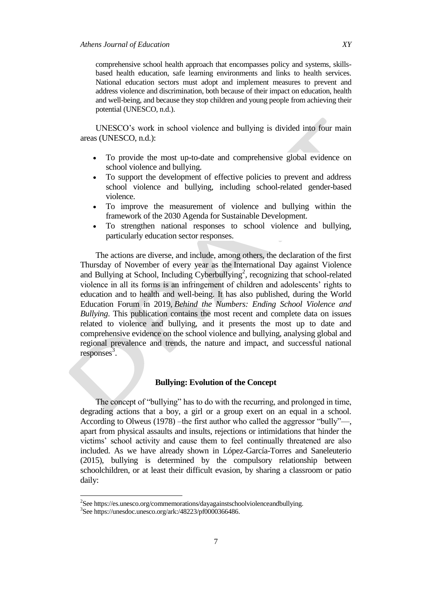comprehensive school health approach that encompasses policy and systems, skillsbased health education, safe learning environments and links to health services. National education sectors must adopt and implement measures to prevent and address violence and discrimination, both because of their impact on education, health and well-being, and because they stop children and young people from achieving their potential (UNESCO, n.d.).

UNESCO's work in school violence and bullying is divided into four main areas (UNESCO, n.d.):

- To provide the most up-to-date and comprehensive global evidence on school violence and bullying.
- To support the development of effective policies to prevent and address school violence and bullying, including school-related gender-based violence.
- To improve the measurement of violence and bullying within the framework of the 2030 Agenda for Sustainable Development.
- To strengthen national responses to school violence and bullying, particularly education sector responses.

The actions are diverse, and include, among others, the declaration of the first Thursday of November of every year as the International Day against Violence and Bullying at School, Including Cyberbullying<sup>2</sup>, recognizing that school-related violence in all its forms is an infringement of children and adolescents' rights to education and to health and well-being. It has also published, during the World Education Forum in 2019, *Behind the Numbers: Ending School Violence and Bullying*. This publication contains the most recent and complete data on issues related to violence and bullying, and it presents the most up to date and comprehensive evidence on the school violence and bullying, analysing global and regional prevalence and trends, the nature and impact, and successful national  $responents^3$ .

## **Bullying: Evolution of the Concept**

The concept of "bullying" has to do with the recurring, and prolonged in time, degrading actions that a boy, a girl or a group exert on an equal in a school. According to Olweus (1978) –the first author who called the aggressor "bully"—, apart from physical assaults and insults, rejections or intimidations that hinder the victims' school activity and cause them to feel continually threatened are also included. As we have already shown in López-García-Torres and Saneleuterio (2015), bullying is determined by the compulsory relationship between schoolchildren, or at least their difficult evasion, by sharing a classroom or patio daily:

 $\overline{\phantom{a}}$ 

<sup>&</sup>lt;sup>2</sup>See [https://es.unesco.org/commemorations/dayagainstschoolviolenceandbullying.](https://es.unesco.org/commemorations/dayagainstschoolviolenceandbullying)

<sup>3</sup> See [https://unesdoc.unesco.org/ark:/48223/pf0000366486.](https://unesdoc.unesco.org/ark:/48223/pf0000366486)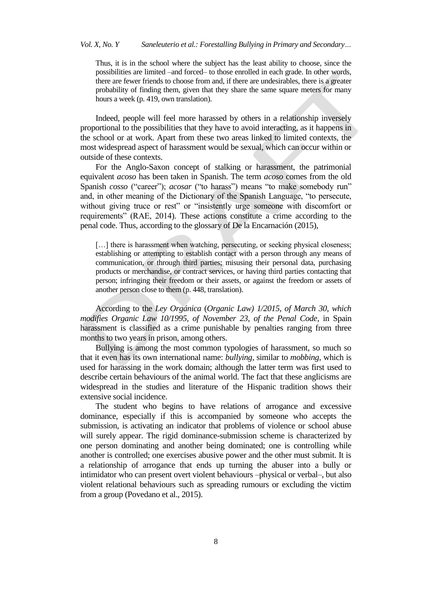## *Vol. X, No. Y Saneleuterio et al.: Forestalling Bullying in Primary and Secondary…*

Thus, it is in the school where the subject has the least ability to choose, since the possibilities are limited –and forced– to those enrolled in each grade. In other words, there are fewer friends to choose from and, if there are undesirables, there is a greater probability of finding them, given that they share the same square meters for many hours a week (p. 419, own translation).

Indeed, people will feel more harassed by others in a relationship inversely proportional to the possibilities that they have to avoid interacting, as it happens in the school or at work. Apart from these two areas linked to limited contexts, the most widespread aspect of harassment would be sexual, which can occur within or outside of these contexts.

For the Anglo-Saxon concept of stalking or harassment, the patrimonial equivalent *acoso* has been taken in Spanish. The term *acoso* comes from the old Spanish *cosso* ("career"); *acosar* ("to harass") means "to make somebody run" and, in other meaning of the Dictionary of the Spanish Language, "to persecute, without giving truce or rest" or "insistently urge someone with discomfort or requirements" (RAE, 2014). These actions constitute a crime according to the penal code. Thus, according to the glossary of De la Encarnación (2015),

[...] there is harassment when watching, persecuting, or seeking physical closeness; establishing or attempting to establish contact with a person through any means of communication, or through third parties; misusing their personal data, purchasing products or merchandise, or contract services, or having third parties contacting that person; infringing their freedom or their assets, or against the freedom or assets of another person close to them (p. 448, translation).

According to the *Ley Orgánica* (*Organic Law) 1/2015, of March 30, which modifies Organic Law 10/1995, of November 23, of the Penal Code*, in Spain harassment is classified as a crime punishable by penalties ranging from three months to two years in prison, among others.

Bullying is among the most common typologies of harassment, so much so that it even has its own international name: *bullying*, similar to *mobbing*, which is used for harassing in the work domain; although the latter term was first used to describe certain behaviours of the animal world. The fact that these anglicisms are widespread in the studies and literature of the Hispanic tradition shows their extensive social incidence.

The student who begins to have relations of arrogance and excessive dominance, especially if this is accompanied by someone who accepts the submission, is activating an indicator that problems of violence or school abuse will surely appear. The rigid dominance-submission scheme is characterized by one person dominating and another being dominated; one is controlling while another is controlled; one exercises abusive power and the other must submit. It is a relationship of arrogance that ends up turning the abuser into a bully or intimidator who can present overt violent behaviours –physical or verbal–, but also violent relational behaviours such as spreading rumours or excluding the victim from a group (Povedano et al., 2015).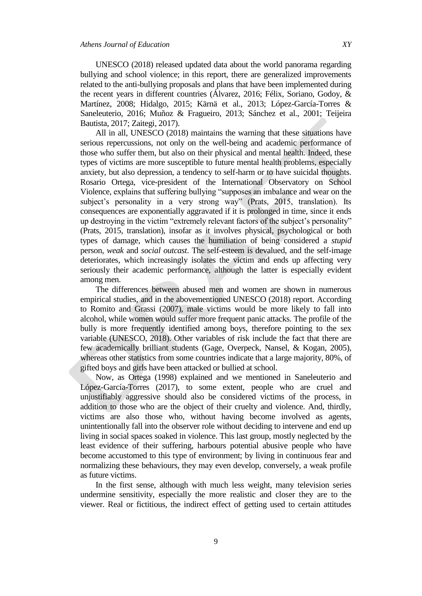UNESCO (2018) released updated data about the world panorama regarding bullying and school violence; in this report, there are generalized improvements related to the anti-bullying proposals and plans that have been implemented during the recent years in different countries (Álvarez, 2016; Félix, Soriano, Godoy, & Martínez, 2008; Hidalgo, 2015; Kärnä et al., 2013; López-García-Torres & Saneleuterio, 2016; Muñoz & Fragueiro, 2013; Sánchez et al., 2001; Teijeira Bautista, 2017; Zaitegi, 2017).

All in all, UNESCO (2018) maintains the warning that these situations have serious repercussions, not only on the well-being and academic performance of those who suffer them, but also on their physical and mental health. Indeed, these types of victims are more susceptible to future mental health problems, especially anxiety, but also depression, a tendency to self-harm or to have suicidal thoughts. Rosario Ortega, vice-president of the International Observatory on School Violence, explains that suffering bullying "supposes an imbalance and wear on the subject's personality in a very strong way'' (Prats, 2015, translation). Its consequences are exponentially aggravated if it is prolonged in time, since it ends up destroying in the victim "extremely relevant factors of the subject's personality" (Prats, 2015, translation), insofar as it involves physical, psychological or both types of damage, which causes the humiliation of being considered a *stupid* person, *weak* and *social outcast*. The self-esteem is devalued, and the self-image deteriorates, which increasingly isolates the victim and ends up affecting very seriously their academic performance, although the latter is especially evident among men.

The differences between abused men and women are shown in numerous empirical studies, and in the abovementioned UNESCO (2018) report. According to Romito and Grassi (2007), male victims would be more likely to fall into alcohol, while women would suffer more frequent panic attacks. The profile of the bully is more frequently identified among boys, therefore pointing to the sex variable (UNESCO, 2018). Other variables of risk include the fact that there are few academically brilliant students (Gage, Overpeck, Nansel, & Kogan, 2005), whereas other statistics from some countries indicate that a large majority, 80%, of gifted boys and girls have been attacked or bullied at school.

Now, as Ortega (1998) explained and we mentioned in Saneleuterio and López-García-Torres (2017), to some extent, people who are cruel and unjustifiably aggressive should also be considered victims of the process, in addition to those who are the object of their cruelty and violence. And, thirdly, victims are also those who, without having become involved as agents, unintentionally fall into the observer role without deciding to intervene and end up living in social spaces soaked in violence. This last group, mostly neglected by the least evidence of their suffering, harbours potential abusive people who have become accustomed to this type of environment; by living in continuous fear and normalizing these behaviours, they may even develop, conversely, a weak profile as future victims.

In the first sense, although with much less weight, many television series undermine sensitivity, especially the more realistic and closer they are to the viewer. Real or fictitious, the indirect effect of getting used to certain attitudes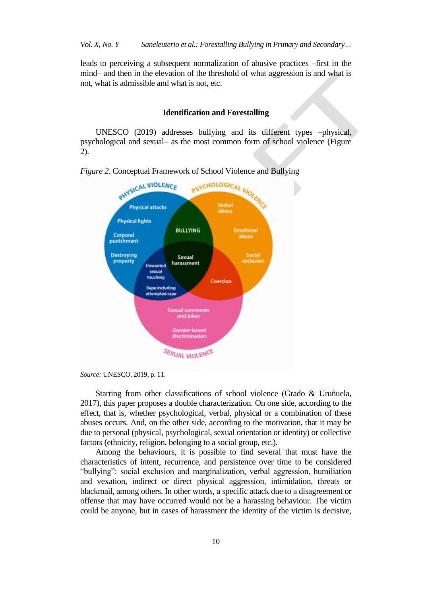leads to perceiving a subsequent normalization of abusive practices –first in the mind– and then in the elevation of the threshold of what aggression is and what is not, what is admissible and what is not, etc.

### **Identification and Forestalling**

UNESCO (2019) addresses bullying and its different types –physical, psychological and sexual– as the most common form of school violence (Figure 2).



Starting from other classifications of school violence (Grado & Uruñuela, 2017), this paper proposes a double characterization. On one side, according to the effect, that is, whether psychological, verbal, physical or a combination of these abuses occurs. And, on the other side, according to the motivation, that it may be due to personal (physical, psychological, sexual orientation or identity) or collective factors (ethnicity, religion, belonging to a social group, etc.).

Among the behaviours, it is possible to find several that must have the characteristics of intent, recurrence, and persistence over time to be considered "bullying": social exclusion and marginalization, verbal aggression, humiliation and vexation, indirect or direct physical aggression, intimidation, threats or blackmail, among others. In other words, a specific attack due to a disagreement or offense that may have occurred would not be a harassing behaviour. The victim could be anyone, but in cases of harassment the identity of the victim is decisive,

*Source:* UNESCO, 2019, p. 11.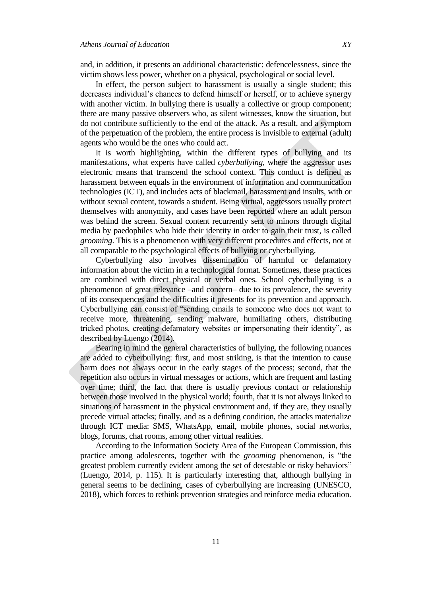and, in addition, it presents an additional characteristic: defencelessness, since the victim shows less power, whether on a physical, psychological or social level.

In effect, the person subject to harassment is usually a single student; this decreases individual's chances to defend himself or herself, or to achieve synergy with another victim. In bullying there is usually a collective or group component; there are many passive observers who, as silent witnesses, know the situation, but do not contribute sufficiently to the end of the attack. As a result, and a symptom of the perpetuation of the problem, the entire process is invisible to external (adult) agents who would be the ones who could act.

It is worth highlighting, within the different types of bullying and its manifestations, what experts have called *cyberbullying*, where the aggressor uses electronic means that transcend the school context. This conduct is defined as harassment between equals in the environment of information and communication technologies (ICT), and includes acts of blackmail, harassment and insults, with or without sexual content, towards a student. Being virtual, aggressors usually protect themselves with anonymity, and cases have been reported where an adult person was behind the screen. Sexual content recurrently sent to minors through digital media by paedophiles who hide their identity in order to gain their trust, is called *grooming*. This is a phenomenon with very different procedures and effects, not at all comparable to the psychological effects of bullying or cyberbullying.

Cyberbullying also involves dissemination of harmful or defamatory information about the victim in a technological format. Sometimes, these practices are combined with direct physical or verbal ones. School cyberbullying is a phenomenon of great relevance –and concern– due to its prevalence, the severity of its consequences and the difficulties it presents for its prevention and approach. Cyberbullying can consist of "sending emails to someone who does not want to receive more, threatening, sending malware, humiliating others, distributing tricked photos, creating defamatory websites or impersonating their identity", as described by Luengo (2014).

Bearing in mind the general characteristics of bullying, the following nuances are added to cyberbullying: first, and most striking, is that the intention to cause harm does not always occur in the early stages of the process; second, that the repetition also occurs in virtual messages or actions, which are frequent and lasting over time; third, the fact that there is usually previous contact or relationship between those involved in the physical world; fourth, that it is not always linked to situations of harassment in the physical environment and, if they are, they usually precede virtual attacks; finally, and as a defining condition, the attacks materialize through ICT media: SMS, WhatsApp, email, mobile phones, social networks, blogs, forums, chat rooms, among other virtual realities.

According to the Information Society Area of the European Commission, this practice among adolescents, together with the *grooming* phenomenon, is "the greatest problem currently evident among the set of detestable or risky behaviors" (Luengo, 2014, p. 115). It is particularly interesting that, although bullying in general seems to be declining, cases of cyberbullying are increasing (UNESCO, 2018), which forces to rethink prevention strategies and reinforce media education.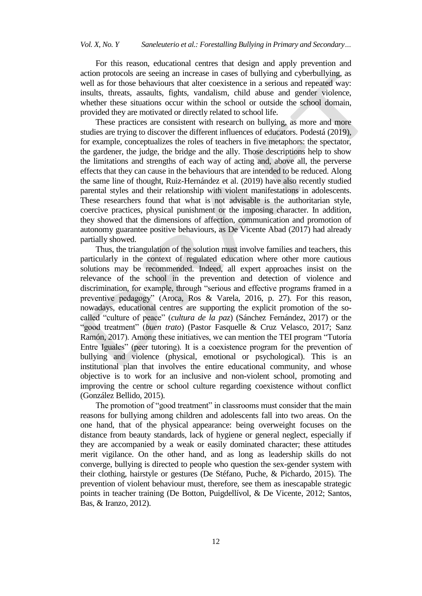For this reason, educational centres that design and apply prevention and action protocols are seeing an increase in cases of bullying and cyberbullying, as well as for those behaviours that alter coexistence in a serious and repeated way: insults, threats, assaults, fights, vandalism, child abuse and gender violence, whether these situations occur within the school or outside the school domain, provided they are motivated or directly related to school life.

These practices are consistent with research on bullying, as more and more studies are trying to discover the different influences of educators. Podestá (2019), for example, conceptualizes the roles of teachers in five metaphors: the spectator, the gardener, the judge, the bridge and the ally. Those descriptions help to show the limitations and strengths of each way of acting and, above all, the perverse effects that they can cause in the behaviours that are intended to be reduced. Along the same line of thought, Ruiz-Hernández et al. (2019) have also recently studied parental styles and their relationship with violent manifestations in adolescents. These researchers found that what is not advisable is the authoritarian style, coercive practices, physical punishment or the imposing character. In addition, they showed that the dimensions of affection, communication and promotion of autonomy guarantee positive behaviours, as De Vicente Abad (2017) had already partially showed.

Thus, the triangulation of the solution must involve families and teachers, this particularly in the context of regulated education where other more cautious solutions may be recommended. Indeed, all expert approaches insist on the relevance of the school in the prevention and detection of violence and discrimination, for example, through "serious and effective programs framed in a preventive pedagogy" (Aroca, Ros & Varela, 2016, p. 27). For this reason, nowadays, educational centres are supporting the explicit promotion of the socalled "culture of peace" (*cultura de la paz*) (Sánchez Fernández, 2017) or the "good treatment" (*buen trato*) (Pastor Fasquelle & Cruz Velasco, 2017; Sanz Ramón, 2017). Among these initiatives, we can mention the TEI program "Tutoría" Entre Iguales" (peer tutoring). It is a coexistence program for the prevention of bullying and violence (physical, emotional or psychological). This is an institutional plan that involves the entire educational community, and whose objective is to work for an inclusive and non-violent school, promoting and improving the centre or school culture regarding coexistence without conflict (González Bellido, 2015).

The promotion of "good treatment" in classrooms must consider that the main reasons for bullying among children and adolescents fall into two areas. On the one hand, that of the physical appearance: being overweight focuses on the distance from beauty standards, lack of hygiene or general neglect, especially if they are accompanied by a weak or easily dominated character; these attitudes merit vigilance. On the other hand, and as long as leadership skills do not converge, bullying is directed to people who question the sex-gender system with their clothing, hairstyle or gestures (De Stéfano, Puche, & Pichardo, 2015). The prevention of violent behaviour must, therefore, see them as inescapable strategic points in teacher training (De Botton, Puigdellívol, & De Vicente, 2012; Santos, Bas, & Iranzo, 2012).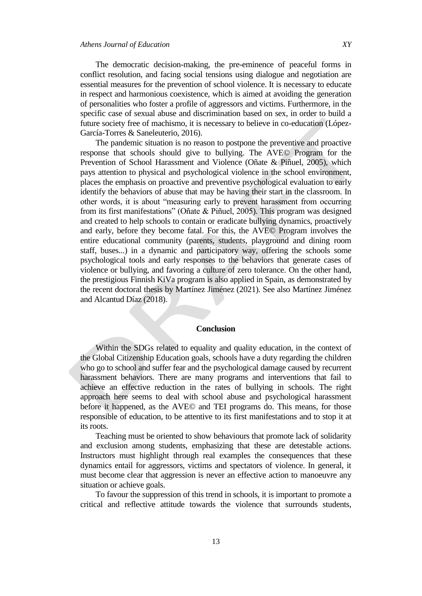The democratic decision-making, the pre-eminence of peaceful forms in

conflict resolution, and facing social tensions using dialogue and negotiation are essential measures for the prevention of school violence. It is necessary to educate in respect and harmonious coexistence, which is aimed at avoiding the generation of personalities who foster a profile of aggressors and victims. Furthermore, in the specific case of sexual abuse and discrimination based on sex, in order to build a future society free of machismo, it is necessary to believe in co-education (López-García-Torres & Saneleuterio, 2016).

The pandemic situation is no reason to postpone the preventive and proactive response that schools should give to bullying. The AVE© Program for the Prevention of School Harassment and Violence (Oñate & Piñuel, 2005), which pays attention to physical and psychological violence in the school environment, places the emphasis on proactive and preventive psychological evaluation to early identify the behaviors of abuse that may be having their start in the classroom. In other words, it is about "measuring early to prevent harassment from occurring from its first manifestations" (Oñate & Piñuel, 2005). This program was designed and created to help schools to contain or eradicate bullying dynamics, proactively and early, before they become fatal. For this, the AVE© Program involves the entire educational community (parents, students, playground and dining room staff, buses...) in a dynamic and participatory way, offering the schools some psychological tools and early responses to the behaviors that generate cases of violence or bullying, and favoring a culture of zero tolerance. On the other hand, the prestigious Finnish KiVa program is also applied in Spain, as demonstrated by the recent doctoral thesis by Martínez Jiménez (2021). See also Martínez Jiménez and Alcantud Díaz (2018).

## **Conclusion**

Within the SDGs related to equality and quality education, in the context of the Global Citizenship Education goals, schools have a duty regarding the children who go to school and suffer fear and the psychological damage caused by recurrent harassment behaviors. There are many programs and interventions that fail to achieve an effective reduction in the rates of bullying in schools. The right approach here seems to deal with school abuse and psychological harassment before it happened, as the AVE© and TEI programs do. This means, for those responsible of education, to be attentive to its first manifestations and to stop it at its roots.

Teaching must be oriented to show behaviours that promote lack of solidarity and exclusion among students, emphasizing that these are detestable actions. Instructors must highlight through real examples the consequences that these dynamics entail for aggressors, victims and spectators of violence. In general, it must become clear that aggression is never an effective action to manoeuvre any situation or achieve goals.

To favour the suppression of this trend in schools, it is important to promote a critical and reflective attitude towards the violence that surrounds students,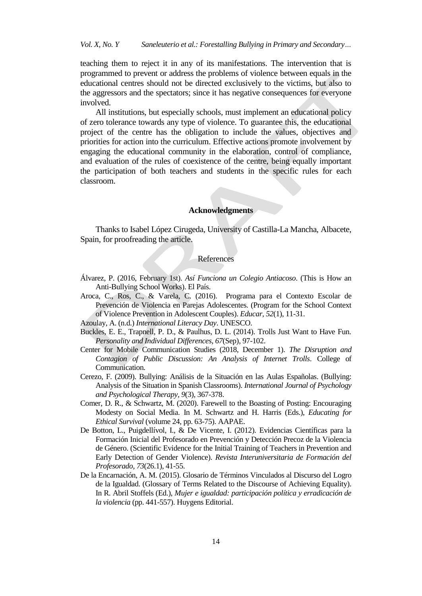teaching them to reject it in any of its manifestations. The intervention that is programmed to prevent or address the problems of violence between equals in the educational centres should not be directed exclusively to the victims, but also to the aggressors and the spectators; since it has negative consequences for everyone involved.

All institutions, but especially schools, must implement an educational policy of zero tolerance towards any type of violence. To guarantee this, the educational project of the centre has the obligation to include the values, objectives and priorities for action into the curriculum. Effective actions promote involvement by engaging the educational community in the elaboration, control of compliance, and evaluation of the rules of coexistence of the centre, being equally important the participation of both teachers and students in the specific rules for each classroom.

#### **Acknowledgments**

Thanks to Isabel López Cirugeda, University of Castilla-La Mancha, Albacete, Spain, for proofreading the article.

#### **References**

- Álvarez, P. (2016, February 1st). *Así Funciona un Colegio Antiacoso*. (This is How an Anti-Bullying School Works). El País.
- Aroca, C., Ros, C., & Varela, C. (2016). Programa para el Contexto Escolar de Prevención de Violencia en Parejas Adolescentes. (Program for the School Context of Violence Prevention in Adolescent Couples). *Educar, 52*(1), 11-31.
- Azoulay, A. (n.d.) *International Literacy Day*. UNESCO.
- Buckles, E. E., Trapnell, P. D., & Paulhus, D. L. (2014). Trolls Just Want to Have Fun. *Personality and Individual Differences, 67*(Sep), 97-102.
- Center for Mobile Communication Studies (2018, December 1). *The Disruption and Contagion of Public Discussion: An Analysis of Internet Trolls*. College of Communication.
- Cerezo, F. (2009). Bullying: Análisis de la Situación en las Aulas Españolas. (Bullying: Analysis of the Situation in Spanish Classrooms). *International Journal of Psychology and Psychological Therapy, 9*(3), 367-378.
- Comer, D. R., & Schwartz, M. (2020). Farewell to the Boasting of Posting: Encouraging Modesty on Social Media. In M. Schwartz and H. Harris (Eds.), *Educating for Ethical Survival* (volume 24, pp. 63-75). AAPAE.
- De Botton, L., Puigdellívol, I., & De Vicente, I. (2012). Evidencias Científicas para la Formación Inicial del Profesorado en Prevención y Detección Precoz de la Violencia de Género. (Scientific Evidence for the Initial Training of Teachers in Prevention and Early Detection of Gender Violence). *Revista Interuniversitaria de Formación del Profesorado, 73*(26.1), 41-55.
- De la Encarnación, A. M. (2015). Glosario de Términos Vinculados al Discurso del Logro de la Igualdad. (Glossary of Terms Related to the Discourse of Achieving Equality). In R. Abril Stoffels (Ed.), *Mujer e igualdad: participación política y erradicación de la violencia* (pp. 441-557). Huygens Editorial.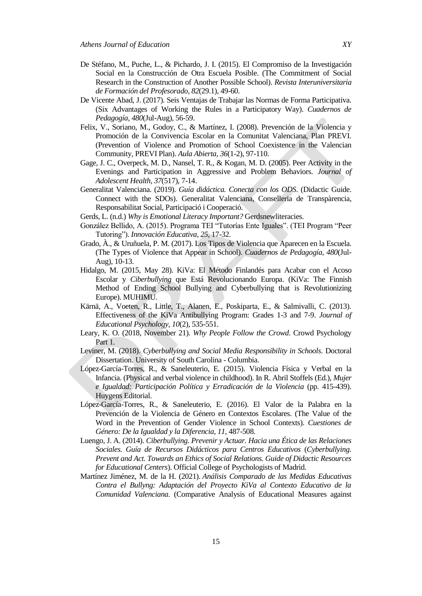- De Stéfano, M., Puche, L., & Pichardo, J. I. (2015). El Compromiso de la Investigación Social en la Construcción de Otra Escuela Posible. (The Commitment of Social Research in the Construction of Another Possible School). *Revista Interuniversitaria de Formación del Profesorado*, *82*(29.1), 49-60.
- De Vicente Abad, J. (2017). Seis Ventajas de Trabajar las Normas de Forma Participativa. (Six Advantages of Working the Rules in a Participatory Way). *Cuadernos de Pedagogía, 480*(Jul-Aug), 56-59.
- Felix, V., Soriano, M., Godoy, C., & Martínez, I. (2008). Prevención de la Violencia y Promoción de la Convivencia Escolar en la Comunitat Valenciana, Plan PREVI. (Prevention of Violence and Promotion of School Coexistence in the Valencian Community, PREVI Plan). *Aula Abierta, 36*(1-2), 97-110.
- Gage, J. C., Overpeck, M. D., Nansel, T. R., & Kogan, M. D. (2005). Peer Activity in the Evenings and Participation in Aggressive and Problem Behaviors. *Journal of Adolescent Health, 37*(517), 7-14.
- Generalitat Valenciana. (2019). *Guía didáctica. Conecta con los ODS*. (Didactic Guide. Connect with the SDOs). Generalitat Valenciana, Conselleria de Transpàrencia, Responsabilitat Social, Participació i Cooperació.
- Gerds, L. (n.d.) *Why is Emotional Literacy Important?* Gerdsnewliteracies.
- González Bellido, A. (2015). Programa TEI "Tutorías Ente Iguales". (TEI Program "Peer Tutoring‖). *Innovación Educativa, 25*, 17-32.
- Grado, À., & Uruñuela, P. M. (2017). Los Tipos de Violencia que Aparecen en la Escuela. (The Types of Violence that Appear in School). *Cuadernos de Pedagogía, 480*(Jul-Aug), 10-13.
- Hidalgo, M. (2015, May 28). KiVa: El Método Finlandés para Acabar con el Acoso Escolar y *Ciberbullying* que Está Revolucionando Europa. (KiVa: The Finnish Method of Ending School Bullying and Cyberbullying that is Revolutionizing Europe). MUHIMU.
- Kärnä, A., Voeten, R., Little, T., Alanen, E., Poskiparta, E., & Salmivalli, C. (2013). Effectiveness of the KiVa Antibullying Program: Grades 1-3 and 7-9. *Journal of Educational Psychology, 10*(2), 535-551.
- Leary, K. O. (2018, November 21). *Why People Follow the Crowd*. Crowd Psychology Part 1.
- Leviner, M. (2018). *Cyberbullying and Social Media Responsibility in Schools*. Doctoral Dissertation. University of South Carolina - Columbia.
- López-García-Torres, R., & Saneleuterio, E. (2015). Violencia Física y Verbal en la Infancia. (Physical and verbal violence in childhood). In R. Abril Stoffels (Ed.), *Mujer e Igualdad: Participación Política y Erradicación de la Violencia* (pp. 415-439). Huygens Editorial.
- López-García-Torres, R., & Saneleuterio, E. (2016). El Valor de la Palabra en la Prevención de la Violencia de Género en Contextos Escolares. (The Value of the Word in the Prevention of Gender Violence in School Contexts). *Cuestiones de Género: De la Igualdad y la Diferencia, 11,* 487-508.
- Luengo, J. A. (2014). *Ciberbullying. Prevenir y Actuar. Hacia una Ética de las Relaciones Sociales. Guía de Recursos Didácticos para Centros Educativos* (*Cyberbullying. Prevent and Act. Towards an Ethics of Social Relations. Guide of Didactic Resources for Educational Centers*). Official College of Psychologists of Madrid.
- Martínez Jiménez, M. de la H. (2021). *Análisis Comparado de las Medidas Educativas Contra el Bullyng: Adaptación del Proyecto KiVa al Contexto Educativo de la Comunidad Valenciana.* (Comparative Analysis of Educational Measures against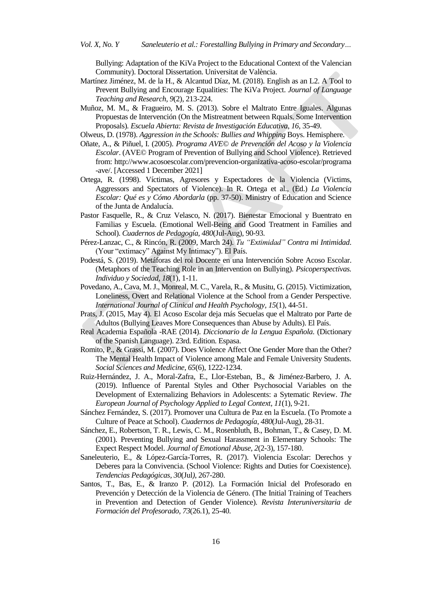Bullying: Adaptation of the KiVa Project to the Educational Context of the Valencian Community). Doctoral Dissertation. Universitat de València.

- Martínez Jiménez, M. de la H., & Alcantud Díaz, M. (2018). English as an L2. A Tool to Prevent Bullying and Encourage Equalities: The KiVa Project. *Journal of Language Teaching and Research, 9*(2), 213-224.
- Muñoz, M. M., & Fragueiro, M. S. (2013). Sobre el Maltrato Entre Iguales. Algunas Propuestas de Intervención (On the Mistreatment between Rquals. Some Intervention Proposals)*. Escuela Abierta: Revista de Investigación Educativa*, *16*, 35-49.
- Olweus, D. (1978). *Aggression in the Schools: Bullies and Whipping* Boys. Hemisphere.
- Oñate, A., & Piñuel, I. (2005). *Programa AVE*© *de Prevención del Acoso y la Violencia Escolar*. (AVE© Program of Prevention of Bullying and School Violence). Retrieved from: http://www.acosoescolar.com/prevencion-organizativa-acoso-escolar/programa -ave/. [Accessed 1 December 2021]
- Ortega, R. (1998). Víctimas, Agresores y Espectadores de la Violencia (Victims, Aggressors and Spectators of Violence). In R. Ortega et al., (Ed.) *La Violencia Escolar: Qué es y Cómo Abordarla* (pp. 37-50). Ministry of Education and Science of the Junta de Andalucía.
- Pastor Fasquelle, R., & Cruz Velasco, N. (2017). Bienestar Emocional y Buentrato en Familias y Escuela. (Emotional Well-Being and Good Treatment in Families and School). *Cuadernos de Pedagogía, 480*(Jul-Aug), 90-93.
- Pérez-Lanzac, C., & Rincón, R. (2009, March 24). *Tu "Extimidad" Contra mi Intimidad*. (Your "extimacy" Against My Intimacy"). El País.
- Podestá, S. (2019). Metáforas del rol Docente en una Intervención Sobre Acoso Escolar. (Metaphors of the Teaching Role in an Intervention on Bullying). *Psicoperspectivas. Individuo y Sociedad*, *18*(1), 1-11.
- Povedano, A., Cava, M. J., Monreal, M. C., Varela, R., & Musitu, G. (2015). Victimization, Loneliness, Overt and Relational Violence at the School from a Gender Perspective. *International Journal of Clinical and Health Psychology, 15*(1), 44-51.
- Prats, J. (2015, May 4). El Acoso Escolar deja más Secuelas que el Maltrato por Parte de Adultos (Bullying Leaves More Consequences than Abuse by Adults). El País.
- Real Academia Española -RAE (2014). *Diccionario de la Lengua Española.* (Dictionary of the Spanish Language). 23rd. Edition. Espasa.
- Romito, P., & Grassi, M. (2007). Does Violence Affect One Gender More than the Other? The Mental Health Impact of Violence among Male and Female University Students. *Social Sciences and Medicine, 65*(6), 1222-1234.
- Ruiz-Hernández, J. A., Moral-Zafra, E., Llor-Esteban, B., & Jiménez-Barbero, J. A. (2019). Influence of Parental Styles and Other Psychosocial Variables on the Development of Externalizing Behaviors in Adolescents: a Sytematic Review. *The European Journal of Psychology Applied to Legal Context, 11*(1), 9-21.
- Sánchez Fernández, S. (2017). Promover una Cultura de Paz en la Escuela. (To Promote a Culture of Peace at School). *Cuadernos de Pedagogía*, *480*(Jul-Aug), 28-31.
- Sánchez, E., Robertson, T. R., Lewis, C. M., Rosenbluth, B., Bohman, T., & Casey, D. M. (2001). Preventing Bullying and Sexual Harassment in Elementary Schools: The Expect Respect Model. *Journal of Emotional Abuse, 2*(2-3), 157-180.
- Saneleuterio, E., & López-García-Torres, R. (2017). Violencia Escolar: Derechos y Deberes para la Convivencia. (School Violence: Rights and Duties for Coexistence). *Tendencias Pedagógicas, 30*(Jul*)*, 267-280.
- Santos, T., Bas, E., & Iranzo P. (2012). La Formación Inicial del Profesorado en Prevención y Detección de la Violencia de Género. (The Initial Training of Teachers in Prevention and Detection of Gender Violence). *Revista Interuniversitaria de Formación del Profesorado, 73*(26.1), 25-40.